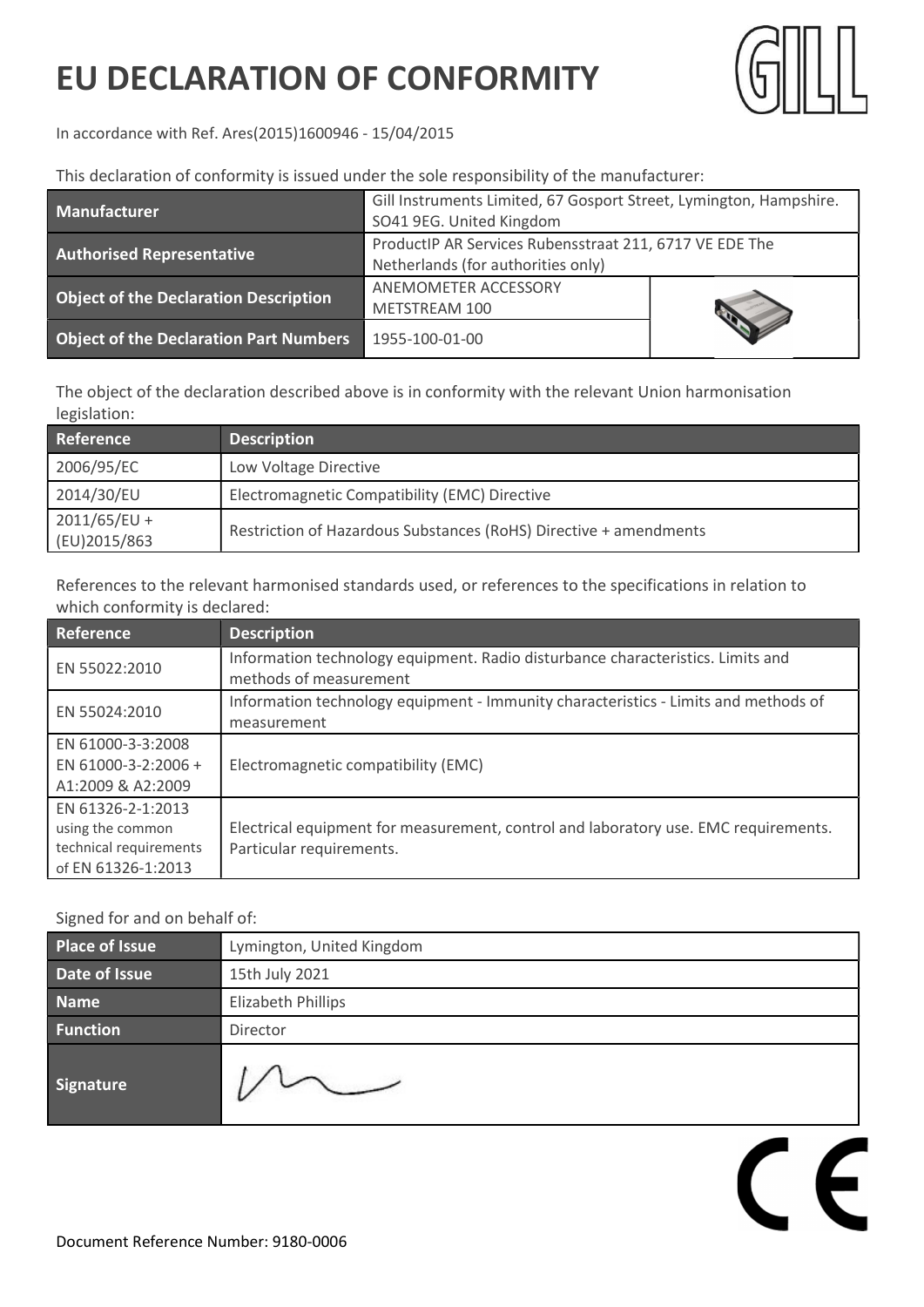## EU DECLARATION OF CONFORMITY



 $\epsilon$ 

In accordance with Ref. Ares(2015)1600946 - 15/04/2015

This declaration of conformity is issued under the sole responsibility of the manufacturer:

| <b>Manufacturer</b>                           | Gill Instruments Limited, 67 Gosport Street, Lymington, Hampshire.<br>SO41 9EG. United Kingdom |  |
|-----------------------------------------------|------------------------------------------------------------------------------------------------|--|
| <b>Authorised Representative</b>              | ProductIP AR Services Rubensstraat 211, 6717 VE EDE The<br>Netherlands (for authorities only)  |  |
| <b>Object of the Declaration Description</b>  | ANEMOMETER ACCESSORY<br>METSTREAM 100                                                          |  |
| <b>Object of the Declaration Part Numbers</b> | 1955-100-01-00                                                                                 |  |

The object of the declaration described above is in conformity with the relevant Union harmonisation legislation:

| Reference                      | <b>Description</b>                                                |
|--------------------------------|-------------------------------------------------------------------|
| 2006/95/EC                     | Low Voltage Directive                                             |
| 2014/30/EU                     | Electromagnetic Compatibility (EMC) Directive                     |
| $2011/65/EU +$<br>(EU)2015/863 | Restriction of Hazardous Substances (RoHS) Directive + amendments |

References to the relevant harmonised standards used, or references to the specifications in relation to which conformity is declared:

| Reference                                                                             | <b>Description</b>                                                                                              |
|---------------------------------------------------------------------------------------|-----------------------------------------------------------------------------------------------------------------|
| EN 55022:2010                                                                         | Information technology equipment. Radio disturbance characteristics. Limits and<br>methods of measurement       |
| EN 55024:2010                                                                         | Information technology equipment - Immunity characteristics - Limits and methods of<br>measurement              |
| EN 61000-3-3:2008<br>EN 61000-3-2:2006 +<br>A1:2009 & A2:2009                         | Electromagnetic compatibility (EMC)                                                                             |
| EN 61326-2-1:2013<br>using the common<br>technical requirements<br>of EN 61326-1:2013 | Electrical equipment for measurement, control and laboratory use. EMC requirements.<br>Particular requirements. |

## Signed for and on behalf of:

| Place of Issue  | Lymington, United Kingdom |
|-----------------|---------------------------|
| Date of Issue   | 15th July 2021            |
| <b>Name</b>     | Elizabeth Phillips        |
| <b>Function</b> | Director                  |
| Signature       |                           |